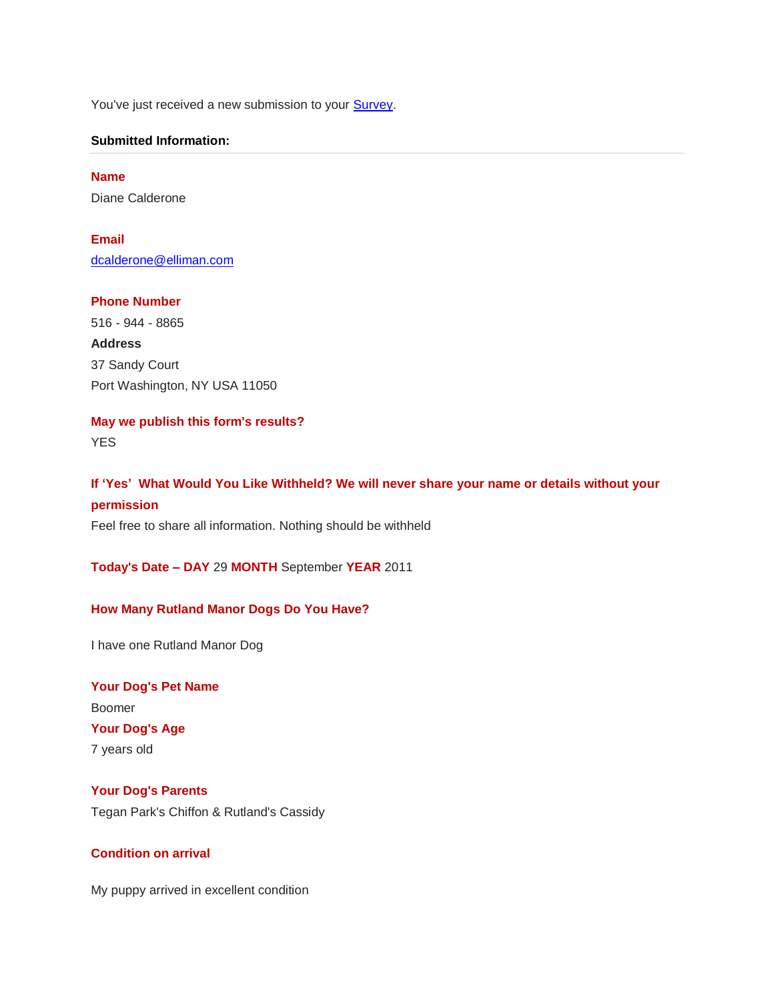You've just received a new submission to your **Survey**.

#### **Submitted Information:**

**Name** Diane Calderone

**Email** [dcalderone@elliman.com](mailto:dcalderone@elliman.com)

**Phone Number** 516 - 944 - 8865 **Address** 37 Sandy Court Port Washington, NY USA 11050

**May we publish this form's results?**

**YES** 

**If 'Yes' What Would You Like Withheld? We will never share your name or details without your permission** Feel free to share all information. Nothing should be withheld

**Today's Date – DAY** 29 **MONTH** September **YEAR** 2011

## **How Many Rutland Manor Dogs Do You Have?**

I have one Rutland Manor Dog

**Your Dog's Pet Name** Boomer **Your Dog's Age** 7 years old

**Your Dog's Parents** Tegan Park's Chiffon & Rutland's Cassidy

### **Condition on arrival**

My puppy arrived in excellent condition